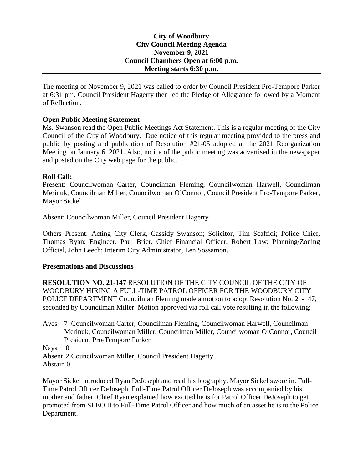## **City of Woodbury City Council Meeting Agenda November 9, 2021 Council Chambers Open at 6:00 p.m. Meeting starts 6:30 p.m.**

The meeting of November 9, 2021 was called to order by Council President Pro-Tempore Parker at 6:31 pm. Council President Hagerty then led the Pledge of Allegiance followed by a Moment of Reflection.

# **Open Public Meeting Statement**

Ms. Swanson read the Open Public Meetings Act Statement. This is a regular meeting of the City Council of the City of Woodbury. Due notice of this regular meeting provided to the press and public by posting and publication of Resolution #21-05 adopted at the 2021 Reorganization Meeting on January 6, 2021. Also, notice of the public meeting was advertised in the newspaper and posted on the City web page for the public.

## **Roll Call:**

Present: Councilwoman Carter, Councilman Fleming, Councilwoman Harwell, Councilman Merinuk, Councilman Miller, Councilwoman O'Connor, Council President Pro-Tempore Parker, Mayor Sickel

Absent: Councilwoman Miller, Council President Hagerty

Others Present: Acting City Clerk, Cassidy Swanson; Solicitor, Tim Scaffidi; Police Chief, Thomas Ryan; Engineer, Paul Brier, Chief Financial Officer, Robert Law; Planning/Zoning Official, John Leech; Interim City Administrator, Len Sossamon.

## **Presentations and Discussions**

**RESOLUTION NO. 21-147** RESOLUTION OF THE CITY COUNCIL OF THE CITY OF WOODBURY HIRING A FULL-TIME PATROL OFFICER FOR THE WOODBURY CITY POLICE DEPARTMENT Councilman Fleming made a motion to adopt Resolution No. 21-147, seconded by Councilman Miller. Motion approved via roll call vote resulting in the following;

Ayes 7 Councilwoman Carter, Councilman Fleming, Councilwoman Harwell, Councilman Merinuk, Councilwoman Miller, Councilman Miller, Councilwoman O'Connor, Council President Pro-Tempore Parker

Nays 0

Absent 2 Councilwoman Miller, Council President Hagerty Abstain 0

Mayor Sickel introduced Ryan DeJoseph and read his biography. Mayor Sickel swore in. Full-Time Patrol Officer DeJoseph. Full-Time Patrol Officer DeJoseph was accompanied by his mother and father. Chief Ryan explained how excited he is for Patrol Officer DeJoseph to get promoted from SLEO II to Full-Time Patrol Officer and how much of an asset he is to the Police Department.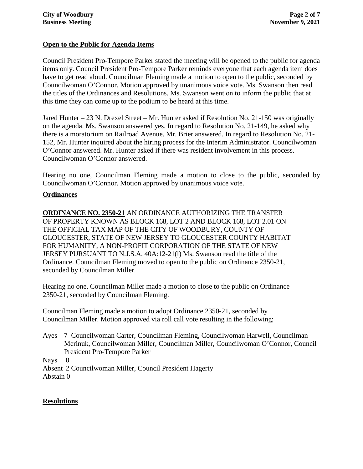# **Open to the Public for Agenda Items**

Council President Pro-Tempore Parker stated the meeting will be opened to the public for agenda items only. Council President Pro-Tempore Parker reminds everyone that each agenda item does have to get read aloud. Councilman Fleming made a motion to open to the public, seconded by Councilwoman O'Connor. Motion approved by unanimous voice vote. Ms. Swanson then read the titles of the Ordinances and Resolutions. Ms. Swanson went on to inform the public that at this time they can come up to the podium to be heard at this time.

Jared Hunter – 23 N. Drexel Street – Mr. Hunter asked if Resolution No. 21-150 was originally on the agenda. Ms. Swanson answered yes. In regard to Resolution No. 21-149, he asked why there is a moratorium on Railroad Avenue. Mr. Brier answered. In regard to Resolution No. 21- 152, Mr. Hunter inquired about the hiring process for the Interim Administrator. Councilwoman O'Connor answered. Mr. Hunter asked if there was resident involvement in this process. Councilwoman O'Connor answered.

Hearing no one, Councilman Fleming made a motion to close to the public, seconded by Councilwoman O'Connor. Motion approved by unanimous voice vote.

## **Ordinances**

**ORDINANCE NO. 2350-21** AN ORDINANCE AUTHORIZING THE TRANSFER OF PROPERTY KNOWN AS BLOCK 168, LOT 2 AND BLOCK 168, LOT 2.01 ON THE OFFICIAL TAX MAP OF THE CITY OF WOODBURY, COUNTY OF GLOUCESTER, STATE OF NEW JERSEY TO GLOUCESTER COUNTY HABITAT FOR HUMANITY, A NON-PROFIT CORPORATION OF THE STATE OF NEW JERSEY PURSUANT TO N.J.S.A. 40A:12-21(l) Ms. Swanson read the title of the Ordinance. Councilman Fleming moved to open to the public on Ordinance 2350-21, seconded by Councilman Miller.

Hearing no one, Councilman Miller made a motion to close to the public on Ordinance 2350-21, seconded by Councilman Fleming.

Councilman Fleming made a motion to adopt Ordinance 2350-21, seconded by Councilman Miller. Motion approved via roll call vote resulting in the following;

Ayes 7 Councilwoman Carter, Councilman Fleming, Councilwoman Harwell, Councilman Merinuk, Councilwoman Miller, Councilman Miller, Councilwoman O'Connor, Council President Pro-Tempore Parker

Nays 0

Absent 2 Councilwoman Miller, Council President Hagerty Abstain 0

# **Resolutions**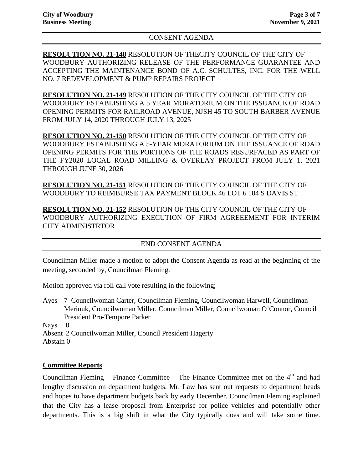## CONSENT AGENDA

**RESOLUTION NO. 21-148** RESOLUTION OF THECITY COUNCIL OF THE CITY OF WOODBURY AUTHORIZING RELEASE OF THE PERFORMANCE GUARANTEE AND ACCEPTING THE MAINTENANCE BOND OF A.C. SCHULTES, INC. FOR THE WELL NO. 7 REDEVELOPMENT & PUMP REPAIRS PROJECT

**RESOLUTION NO. 21-149** RESOLUTION OF THE CITY COUNCIL OF THE CITY OF WOODBURY ESTABLISHING A 5 YEAR MORATORIUM ON THE ISSUANCE OF ROAD OPENING PERMITS FOR RAILROAD AVENUE, NJSH 45 TO SOUTH BARBER AVENUE FROM JULY 14, 2020 THROUGH JULY 13, 2025

**RESOLUTION NO. 21-150** RESOLUTION OF THE CITY COUNCIL OF THE CITY OF WOODBURY ESTABLISHING A 5-YEAR MORATORIUM ON THE ISSUANCE OF ROAD OPENING PERMITS FOR THE PORTIONS OF THE ROADS RESURFACED AS PART OF THE FY2020 LOCAL ROAD MILLING & OVERLAY PROJECT FROM JULY 1, 2021 THROUGH JUNE 30, 2026

**RESOLUTION NO. 21-151** RESOLUTION OF THE CITY COUNCIL OF THE CITY OF WOODBURY TO REIMBURSE TAX PAYMENT BLOCK 46 LOT 6 104 S DAVIS ST

**RESOLUTION NO. 21-152** RESOLUTION OF THE CITY COUNCIL OF THE CITY OF WOODBURY AUTHORIZING EXECUTION OF FIRM AGREEEMENT FOR INTERIM CITY ADMINISTRTOR

## END CONSENT AGENDA

Councilman Miller made a motion to adopt the Consent Agenda as read at the beginning of the meeting, seconded by, Councilman Fleming.

Motion approved via roll call vote resulting in the following;

Ayes 7 Councilwoman Carter, Councilman Fleming, Councilwoman Harwell, Councilman Merinuk, Councilwoman Miller, Councilman Miller, Councilwoman O'Connor, Council President Pro-Tempore Parker

Nays 0

Absent 2 Councilwoman Miller, Council President Hagerty Abstain 0

# **Committee Reports**

Councilman Fleming – Finance Committee – The Finance Committee met on the  $4<sup>th</sup>$  and had lengthy discussion on department budgets. Mr. Law has sent out requests to department heads and hopes to have department budgets back by early December. Councilman Fleming explained that the City has a lease proposal from Enterprise for police vehicles and potentially other departments. This is a big shift in what the City typically does and will take some time.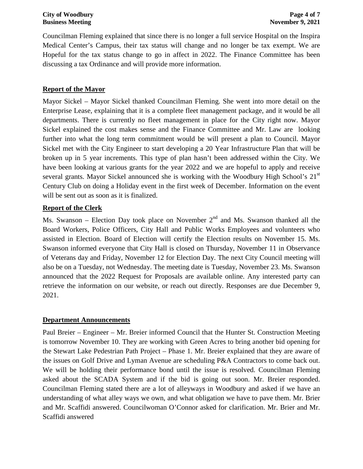Councilman Fleming explained that since there is no longer a full service Hospital on the Inspira Medical Center's Campus, their tax status will change and no longer be tax exempt. We are Hopeful for the tax status change to go in affect in 2022. The Finance Committee has been discussing a tax Ordinance and will provide more information.

# **Report of the Mayor**

Mayor Sickel – Mayor Sickel thanked Councilman Fleming. She went into more detail on the Enterprise Lease, explaining that it is a complete fleet management package, and it would be all departments. There is currently no fleet management in place for the City right now. Mayor Sickel explained the cost makes sense and the Finance Committee and Mr. Law are looking further into what the long term commitment would be will present a plan to Council. Mayor Sickel met with the City Engineer to start developing a 20 Year Infrastructure Plan that will be broken up in 5 year increments. This type of plan hasn't been addressed within the City. We have been looking at various grants for the year 2022 and we are hopeful to apply and receive several grants. Mayor Sickel announced she is working with the Woodbury High School's 21<sup>st</sup> Century Club on doing a Holiday event in the first week of December. Information on the event will be sent out as soon as it is finalized.

## **Report of the Clerk**

Ms. Swanson – Election Day took place on November  $2<sup>nd</sup>$  and Ms. Swanson thanked all the Board Workers, Police Officers, City Hall and Public Works Employees and volunteers who assisted in Election. Board of Election will certify the Election results on November 15. Ms. Swanson informed everyone that City Hall is closed on Thursday, November 11 in Observance of Veterans day and Friday, November 12 for Election Day. The next City Council meeting will also be on a Tuesday, not Wednesday. The meeting date is Tuesday, November 23. Ms. Swanson announced that the 2022 Request for Proposals are available online. Any interested party can retrieve the information on our website, or reach out directly. Responses are due December 9, 2021.

## **Department Announcements**

Paul Breier – Engineer – Mr. Breier informed Council that the Hunter St. Construction Meeting is tomorrow November 10. They are working with Green Acres to bring another bid opening for the Stewart Lake Pedestrian Path Project – Phase 1. Mr. Breier explained that they are aware of the issues on Golf Drive and Lyman Avenue are scheduling P&A Contractors to come back out. We will be holding their performance bond until the issue is resolved. Councilman Fleming asked about the SCADA System and if the bid is going out soon. Mr. Breier responded. Councilman Fleming stated there are a lot of alleyways in Woodbury and asked if we have an understanding of what alley ways we own, and what obligation we have to pave them. Mr. Brier and Mr. Scaffidi answered. Councilwoman O'Connor asked for clarification. Mr. Brier and Mr. Scaffidi answered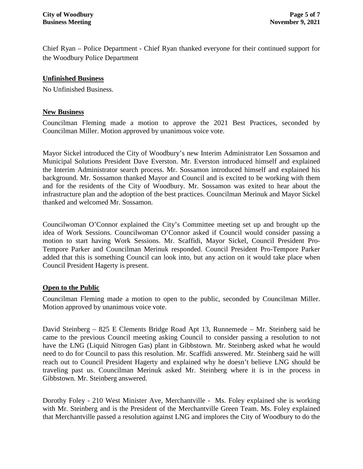Chief Ryan – Police Department - Chief Ryan thanked everyone for their continued support for the Woodbury Police Department

## **Unfinished Business**

No Unfinished Business.

## **New Business**

Councilman Fleming made a motion to approve the 2021 Best Practices, seconded by Councilman Miller. Motion approved by unanimous voice vote.

Mayor Sickel introduced the City of Woodbury's new Interim Administrator Len Sossamon and Municipal Solutions President Dave Everston. Mr. Everston introduced himself and explained the Interim Administrator search process. Mr. Sossamon introduced himself and explained his background. Mr. Sossamon thanked Mayor and Council and is excited to be working with them and for the residents of the City of Woodbury. Mr. Sossamon was exited to hear about the infrastructure plan and the adoption of the best practices. Councilman Merinuk and Mayor Sickel thanked and welcomed Mr. Sossamon.

Councilwoman O'Connor explained the City's Committee meeting set up and brought up the idea of Work Sessions. Councilwoman O'Connor asked if Council would consider passing a motion to start having Work Sessions. Mr. Scaffidi, Mayor Sickel, Council President Pro-Tempore Parker and Councilman Merinuk responded. Council President Pro-Tempore Parker added that this is something Council can look into, but any action on it would take place when Council President Hagerty is present.

## **Open to the Public**

Councilman Fleming made a motion to open to the public, seconded by Councilman Miller. Motion approved by unanimous voice vote.

David Steinberg – 825 E Clements Bridge Road Apt 13, Runnemede – Mr. Steinberg said he came to the previous Council meeting asking Council to consider passing a resolution to not have the LNG (Liquid Nitrogen Gas) plant in Gibbstown. Mr. Steinberg asked what he would need to do for Council to pass this resolution. Mr. Scaffidi answered. Mr. Steinberg said he will reach out to Council President Hagerty and explained why he doesn't believe LNG should be traveling past us. Councilman Merinuk asked Mr. Steinberg where it is in the process in Gibbstown. Mr. Steinberg answered.

Dorothy Foley - 210 West Minister Ave, Merchantville - Ms. Foley explained she is working with Mr. Steinberg and is the President of the Merchantville Green Team. Ms. Foley explained that Merchantville passed a resolution against LNG and implores the City of Woodbury to do the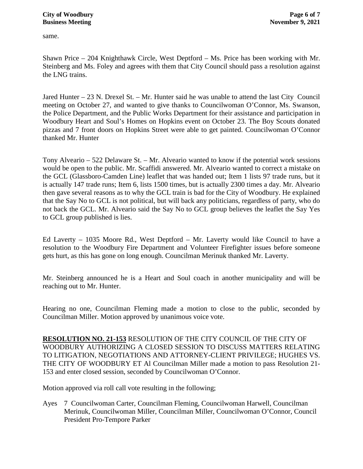same.

Shawn Price – 204 Knighthawk Circle, West Deptford – Ms. Price has been working with Mr. Steinberg and Ms. Foley and agrees with them that City Council should pass a resolution against the LNG trains.

Jared Hunter – 23 N. Drexel St. – Mr. Hunter said he was unable to attend the last City Council meeting on October 27, and wanted to give thanks to Councilwoman O'Connor, Ms. Swanson, the Police Department, and the Public Works Department for their assistance and participation in Woodbury Heart and Soul's Homes on Hopkins event on October 23. The Boy Scouts donated pizzas and 7 front doors on Hopkins Street were able to get painted. Councilwoman O'Connor thanked Mr. Hunter

Tony Alveario – 522 Delaware St. – Mr. Alveario wanted to know if the potential work sessions would be open to the public. Mr. Scaffidi answered. Mr. Alveario wanted to correct a mistake on the GCL (Glassboro-Camden Line) leaflet that was handed out; Item 1 lists 97 trade runs, but it is actually 147 trade runs; Item 6, lists 1500 times, but is actually 2300 times a day. Mr. Alveario then gave several reasons as to why the GCL train is bad for the City of Woodbury. He explained that the Say No to GCL is not political, but will back any politicians, regardless of party, who do not back the GCL. Mr. Alveario said the Say No to GCL group believes the leaflet the Say Yes to GCL group published is lies.

Ed Laverty – 1035 Moore Rd., West Deptford – Mr. Laverty would like Council to have a resolution to the Woodbury Fire Department and Volunteer Firefighter issues before someone gets hurt, as this has gone on long enough. Councilman Merinuk thanked Mr. Laverty.

Mr. Steinberg announced he is a Heart and Soul coach in another municipality and will be reaching out to Mr. Hunter.

Hearing no one, Councilman Fleming made a motion to close to the public, seconded by Councilman Miller. Motion approved by unanimous voice vote.

**RESOLUTION NO. 21-153** RESOLUTION OF THE CITY COUNCIL OF THE CITY OF WOODBURY AUTHORIZING A CLOSED SESSION TO DISCUSS MATTERS RELATING TO LITIGATION, NEGOTIATIONS AND ATTORNEY-CLIENT PRIVILEGE; HUGHES VS. THE CITY OF WOODBURY ET Al Councilman Miller made a motion to pass Resolution 21- 153 and enter closed session, seconded by Councilwoman O'Connor.

Motion approved via roll call vote resulting in the following;

Ayes 7 Councilwoman Carter, Councilman Fleming, Councilwoman Harwell, Councilman Merinuk, Councilwoman Miller, Councilman Miller, Councilwoman O'Connor, Council President Pro-Tempore Parker